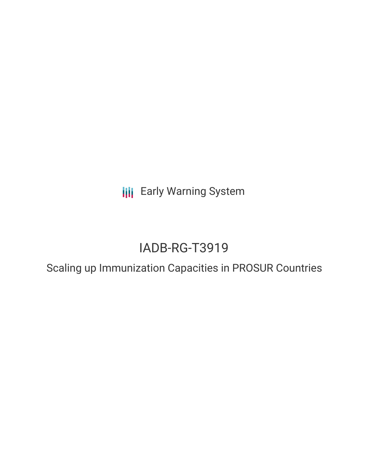**III** Early Warning System

# IADB-RG-T3919

Scaling up Immunization Capacities in PROSUR Countries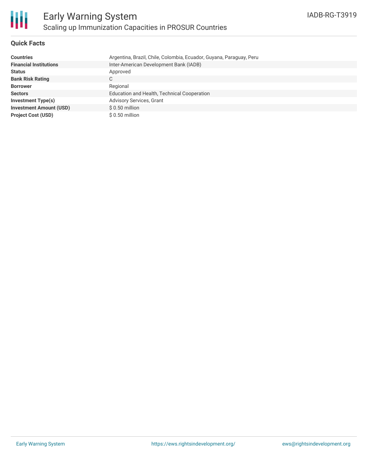

# **Quick Facts**

| <b>Countries</b>               | Argentina, Brazil, Chile, Colombia, Ecuador, Guyana, Paraguay, Peru |
|--------------------------------|---------------------------------------------------------------------|
| <b>Financial Institutions</b>  | Inter-American Development Bank (IADB)                              |
| <b>Status</b>                  | Approved                                                            |
| <b>Bank Risk Rating</b>        | $\sim$<br>U                                                         |
| <b>Borrower</b>                | Regional                                                            |
| <b>Sectors</b>                 | Education and Health, Technical Cooperation                         |
| <b>Investment Type(s)</b>      | <b>Advisory Services, Grant</b>                                     |
| <b>Investment Amount (USD)</b> | $$0.50$ million                                                     |
| <b>Project Cost (USD)</b>      | $$0.50$ million                                                     |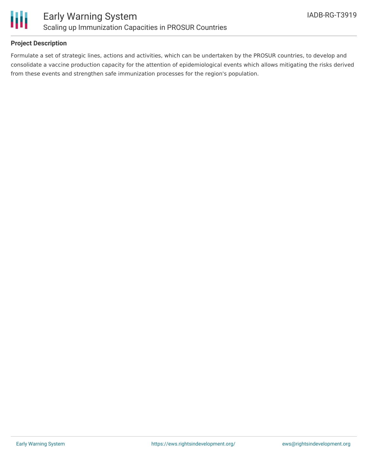

# **Project Description**

Formulate a set of strategic lines, actions and activities, which can be undertaken by the PROSUR countries, to develop and consolidate a vaccine production capacity for the attention of epidemiological events which allows mitigating the risks derived from these events and strengthen safe immunization processes for the region's population.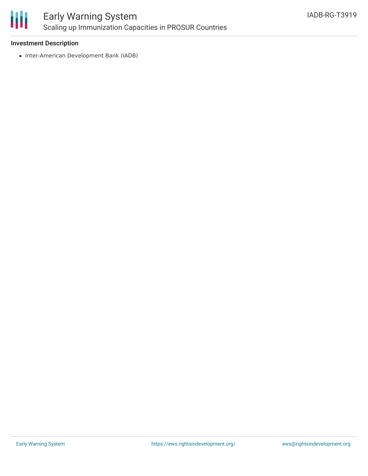

# Early Warning System Scaling up Immunization Capacities in PROSUR Countries

### **Investment Description**

• Inter-American Development Bank (IADB)